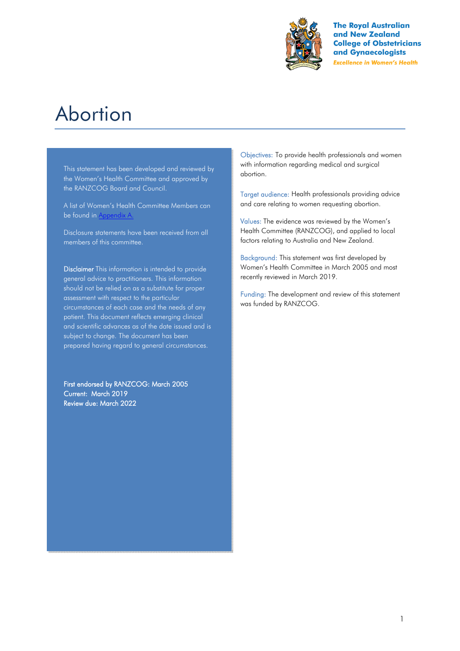

**The Royal Australian** and New Zealand **College of Obstetricians** and Gynaecologists **Excellence in Women's Health** 

# Abortion

This statement has been developed and reviewed by the Women's Health Committee and approved by the RANZCOG Board and Council.

A list of Women's Health Committee Members can be found in Appendix A.

Disclosure statements have been received from all members of this committee.

Disclaimer This information is intended to provide general advice to practitioners. This information should not be relied on as a substitute for proper assessment with respect to the particular circumstances of each case and the needs of any patient. This document reflects emerging clinical and scientific advances as of the date issued and is subject to change. The document has been prepared having regard to general circumstances.

First endorsed by RANZCOG: March 2005 Current: March 2019 Review due: March 2022

Objectives: To provide health professionals and women with information regarding medical and surgical abortion.

Target audience: Health professionals providing advice and care relating to women requesting abortion.

Values: The evidence was reviewed by the Women's Health Committee (RANZCOG), and applied to local factors relating to Australia and New Zealand.

Background: This statement was first developed by Women's Health Committee in March 2005 and most recently reviewed in March 2019.

Funding: The development and review of this statement was funded by RANZCOG.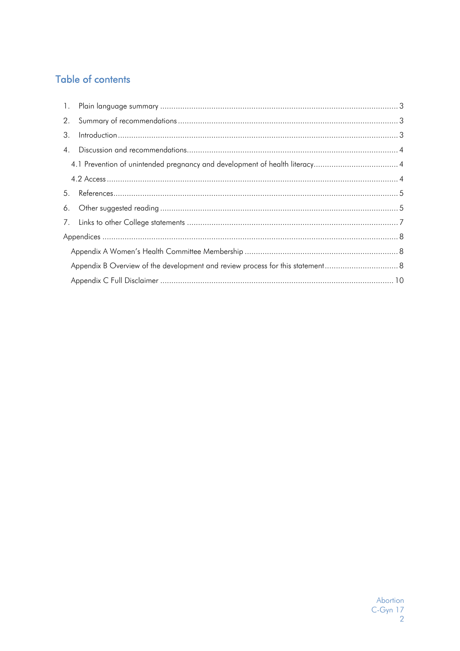# **Table of contents**

| 2.               |                |  |  |  |  |
|------------------|----------------|--|--|--|--|
| 3.               | Introduction 3 |  |  |  |  |
| $\overline{4}$ . |                |  |  |  |  |
|                  |                |  |  |  |  |
|                  |                |  |  |  |  |
|                  |                |  |  |  |  |
|                  |                |  |  |  |  |
|                  |                |  |  |  |  |
|                  |                |  |  |  |  |
|                  |                |  |  |  |  |
|                  |                |  |  |  |  |
|                  |                |  |  |  |  |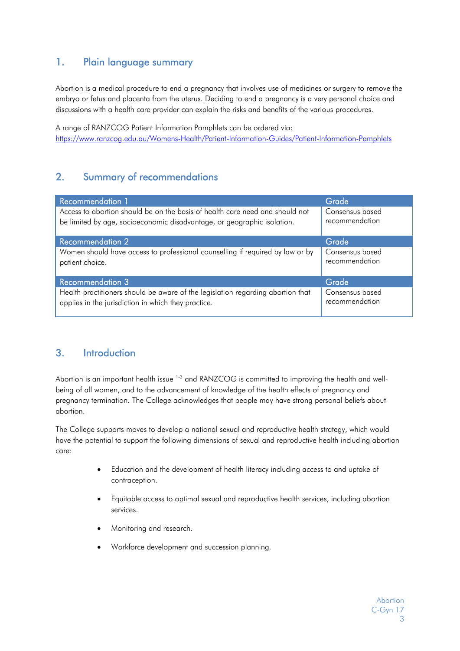# 1. Plain language summary

Abortion is a medical procedure to end a pregnancy that involves use of medicines or surgery to remove the embryo or fetus and placenta from the uterus. Deciding to end a pregnancy is a very personal choice and discussions with a health care provider can explain the risks and benefits of the various procedures.

A range of RANZCOG Patient Information Pamphlets can be ordered via: https://www.ranzcog.edu.au/Womens-Health/Patient-Information-Guides/Patient-Information-Pamphlets

# 2. Summary of recommendations

| <b>Recommendation 1</b>                                                         | Grade           |
|---------------------------------------------------------------------------------|-----------------|
| Access to abortion should be on the basis of health care need and should not    | Consensus based |
| be limited by age, socioeconomic disadvantage, or geographic isolation.         | recommendation  |
| <b>Recommendation 2</b>                                                         | Grade           |
| Women should have access to professional counselling if required by law or by   | Consensus based |
| patient choice.                                                                 | recommendation  |
| <b>Recommendation 3</b>                                                         | Grade           |
| Health practitioners should be aware of the legislation regarding abortion that | Consensus based |
| applies in the jurisdiction in which they practice.                             | recommendation  |

# 3. Introduction

Abortion is an important health issue <sup>1-3</sup> and RANZCOG is committed to improving the health and wellbeing of all women, and to the advancement of knowledge of the health effects of pregnancy and pregnancy termination. The College acknowledges that people may have strong personal beliefs about abortion.

The College supports moves to develop a national sexual and reproductive health strategy, which would have the potential to support the following dimensions of sexual and reproductive health including abortion care:

- Education and the development of health literacy including access to and uptake of contraception.
- Equitable access to optimal sexual and reproductive health services, including abortion services.
- Monitoring and research.
- Workforce development and succession planning.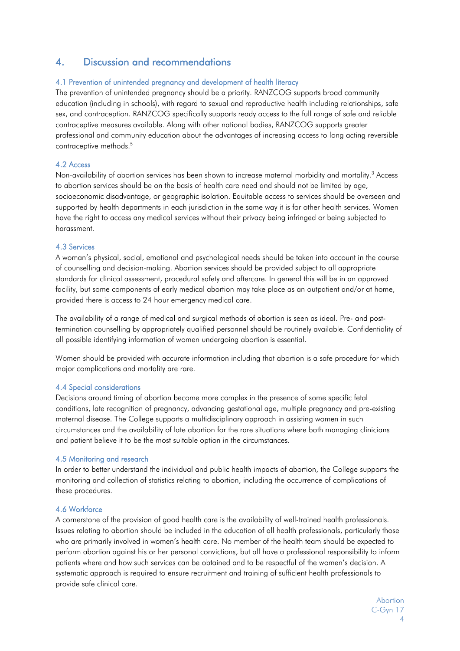# 4. Discussion and recommendations

#### 4.1 Prevention of unintended pregnancy and development of health literacy

The prevention of unintended pregnancy should be a priority. RANZCOG supports broad community education (including in schools), with regard to sexual and reproductive health including relationships, safe sex, and contraception. RANZCOG specifically supports ready access to the full range of safe and reliable contraceptive measures available. Along with other national bodies, RANZCOG supports greater professional and community education about the advantages of increasing access to long acting reversible contraceptive methods.<sup>5</sup>

#### 4.2 Access

Non-availability of abortion services has been shown to increase maternal morbidity and mortality.<sup>3</sup> Access to abortion services should be on the basis of health care need and should not be limited by age, socioeconomic disadvantage, or geographic isolation. Equitable access to services should be overseen and supported by health departments in each jurisdiction in the same way it is for other health services. Women have the right to access any medical services without their privacy being infringed or being subjected to harassment.

#### 4.3 Services

A woman's physical, social, emotional and psychological needs should be taken into account in the course of counselling and decision-making. Abortion services should be provided subject to all appropriate standards for clinical assessment, procedural safety and aftercare. In general this will be in an approved facility, but some components of early medical abortion may take place as an outpatient and/or at home, provided there is access to 24 hour emergency medical care.

The availability of a range of medical and surgical methods of abortion is seen as ideal. Pre- and posttermination counselling by appropriately qualified personnel should be routinely available. Confidentiality of all possible identifying information of women undergoing abortion is essential.

Women should be provided with accurate information including that abortion is a safe procedure for which major complications and mortality are rare.

#### 4.4 Special considerations

Decisions around timing of abortion become more complex in the presence of some specific fetal conditions, late recognition of pregnancy, advancing gestational age, multiple pregnancy and pre-existing maternal disease. The College supports a multidisciplinary approach in assisting women in such circumstances and the availability of late abortion for the rare situations where both managing clinicians and patient believe it to be the most suitable option in the circumstances.

#### 4.5 Monitoring and research

In order to better understand the individual and public health impacts of abortion, the College supports the monitoring and collection of statistics relating to abortion, including the occurrence of complications of these procedures.

#### 4.6 Workforce

A cornerstone of the provision of good health care is the availability of well-trained health professionals. Issues relating to abortion should be included in the education of all health professionals, particularly those who are primarily involved in women's health care. No member of the health team should be expected to perform abortion against his or her personal convictions, but all have a professional responsibility to inform patients where and how such services can be obtained and to be respectful of the women's decision. A systematic approach is required to ensure recruitment and training of sufficient health professionals to provide safe clinical care.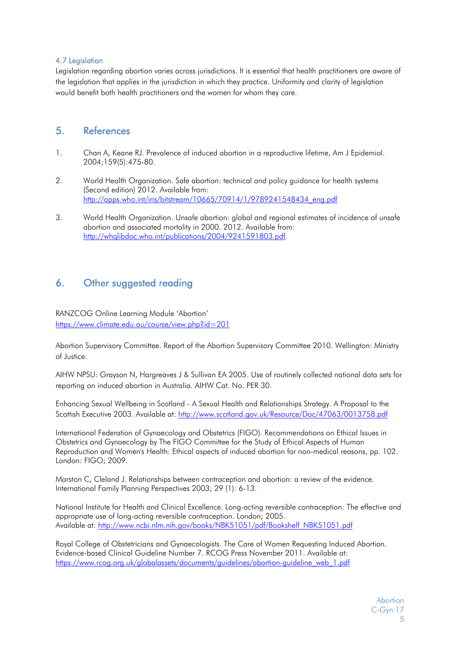#### 4.7 Legislation

Legislation regarding abortion varies across jurisdictions. It is essential that health practitioners are aware of the legislation that applies in the jurisdiction in which they practice. Uniformity and clarity of legislation would benefit both health practitioners and the women for whom they care.

### 5. References

- 1. Chan A, Keane RJ. Prevalence of induced abortion in a reproductive lifetime, Am J Epidemiol. 2004;159(5):475-80.
- 2. World Health Organization. Safe abortion: technical and policy guidance for health systems (Second edition) 2012. Available from: http://apps.who.int/iris/bitstream/10665/70914/1/9789241548434\_eng.pdf
- 3. World Health Organization. Unsafe abortion: global and regional estimates of incidence of unsafe abortion and associated mortality in 2000. 2012. Available from: http://whqlibdoc.who.int/publications/2004/9241591803.pdf.

# 6. Other suggested reading

RANZCOG Online Learning Module 'Abortion' https://www.climate.edu.au/course/view.php?id=201

Abortion Supervisory Committee. Report of the Abortion Supervisory Committee 2010. Wellington: Ministry of Justice.

AIHW NPSU: Grayson N, Hargreaves J & Sullivan EA 2005. Use of routinely collected national data sets for reporting on induced abortion in Australia. AIHW Cat. No. PER 30.

Enhancing Sexual Wellbeing in Scotland - A Sexual Health and Relationships Strategy. A Proposal to the Scottish Executive 2003. Available at: http://www.scotland.gov.uk/Resource/Doc/47063/0013758.pdf

International Federation of Gynaecology and Obstetrics (FIGO). Recommendations on Ethical Issues in Obstetrics and Gynaecology by The FIGO Committee for the Study of Ethical Aspects of Human Reproduction and Women's Health: Ethical aspects of induced abortion for non-medical reasons, pp. 102. London: FIGO; 2009.

Marston C, Cleland J. Relationships between contraception and abortion: a review of the evidence. International Family Planning Perspectives 2003; 29 (1): 6-13.

National Institute for Health and Clinical Excellence. Long-acting reversible contraception: The effective and appropriate use of long-acting reversible contraception. London; 2005. Available at: http://www.ncbi.nlm.nih.gov/books/NBK51051/pdf/Bookshelf\_NBK51051.pdf

Royal College of Obstetricians and Gynaecologists. The Care of Women Requesting Induced Abortion. Evidence-based Clinical Guideline Number 7. RCOG Press November 2011. Available at: https://www.rcog.org.uk/globalassets/documents/guidelines/abortion-guideline\_web\_1.pdf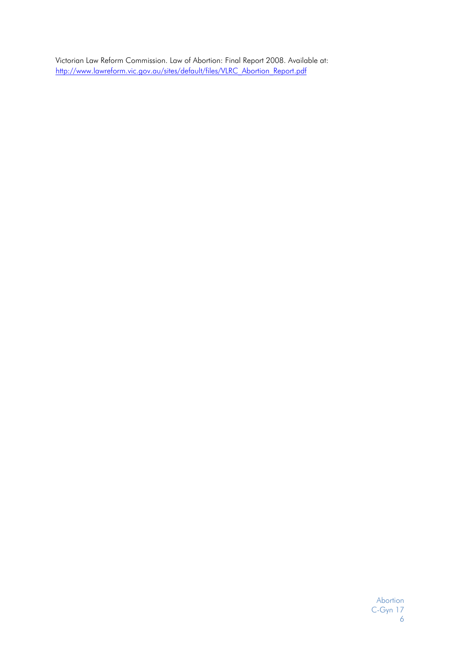Victorian Law Reform Commission. Law of Abortion: Final Report 2008. Available at: http://www.lawreform.vic.gov.au/sites/default/files/VLRC\_Abortion\_Report.pdf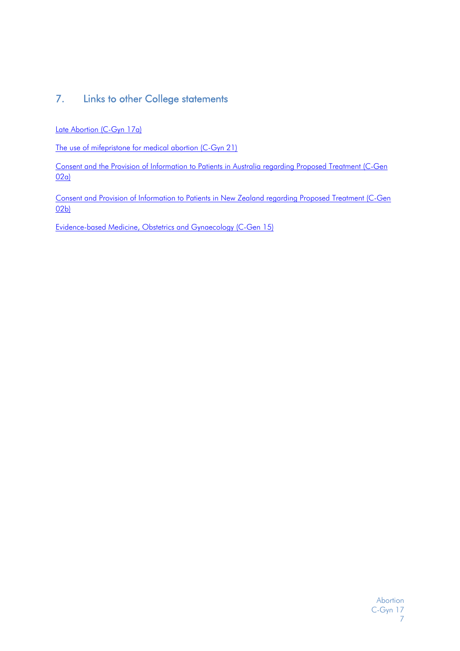# 7. Links to other College statements

Late Abortion (C-Gyn 17a)

The use of mifepristone for medical abortion (C-Gyn 21)

Consent and the Provision of Information to Patients in Australia regarding Proposed Treatment (C-Gen 02a)

Consent and Provision of Information to Patients in New Zealand regarding Proposed Treatment (C-Gen 02b)

Evidence-based Medicine, Obstetrics and Gynaecology (C-Gen 15)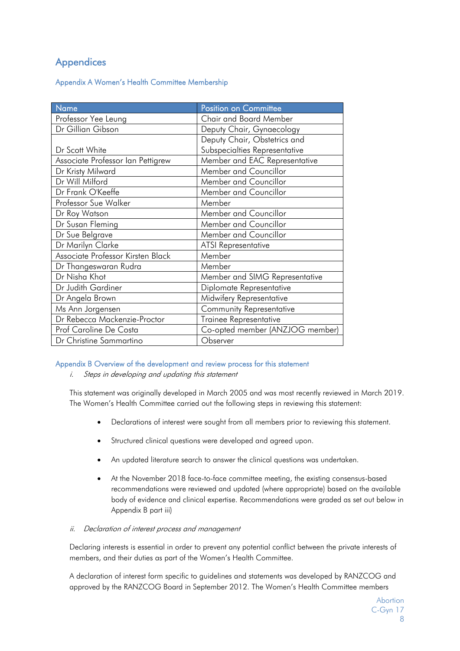# **Appendices**

#### Appendix A Women's Health Committee Membership

| <b>Name</b>                       | Position on Committee           |
|-----------------------------------|---------------------------------|
| Professor Yee Leung               | <b>Chair and Board Member</b>   |
| Dr Gillian Gibson                 | Deputy Chair, Gynaecology       |
|                                   | Deputy Chair, Obstetrics and    |
| Dr Scott White                    | Subspecialties Representative   |
| Associate Professor Ian Pettigrew | Member and EAC Representative   |
| Dr Kristy Milward                 | Member and Councillor           |
| Dr Will Milford                   | Member and Councillor           |
| Dr Frank O'Keeffe                 | Member and Councillor           |
| Professor Sue Walker              | Member                          |
| Dr Roy Watson                     | Member and Councillor           |
| Dr Susan Fleming                  | Member and Councillor           |
| Dr Sue Belgrave                   | Member and Councillor           |
| Dr Marilyn Clarke                 | <b>ATSI</b> Representative      |
| Associate Professor Kirsten Black | Member                          |
| Dr Thangeswaran Rudra             | Member                          |
| Dr Nisha Khot                     | Member and SIMG Representative  |
| Dr Judith Gardiner                | Diplomate Representative        |
| Dr Angela Brown                   | Midwifery Representative        |
| Ms Ann Jorgensen                  | Community Representative        |
| Dr Rebecca Mackenzie-Proctor      | Trainee Representative          |
| Prof Caroline De Costa            | Co-opted member (ANZJOG member) |
| Dr Christine Sammartino           | Observer                        |

#### Appendix B Overview of the development and review process for this statement

i. Steps in developing and updating this statement

This statement was originally developed in March 2005 and was most recently reviewed in March 2019. The Women's Health Committee carried out the following steps in reviewing this statement:

- Declarations of interest were sought from all members prior to reviewing this statement.
- Structured clinical questions were developed and agreed upon.
- An updated literature search to answer the clinical questions was undertaken.
- At the November 2018 face-to-face committee meeting, the existing consensus-based recommendations were reviewed and updated (where appropriate) based on the available body of evidence and clinical expertise. Recommendations were graded as set out below in Appendix B part iii)

#### ii. Declaration of interest process and management

Declaring interests is essential in order to prevent any potential conflict between the private interests of members, and their duties as part of the Women's Health Committee.

A declaration of interest form specific to guidelines and statements was developed by RANZCOG and approved by the RANZCOG Board in September 2012. The Women's Health Committee members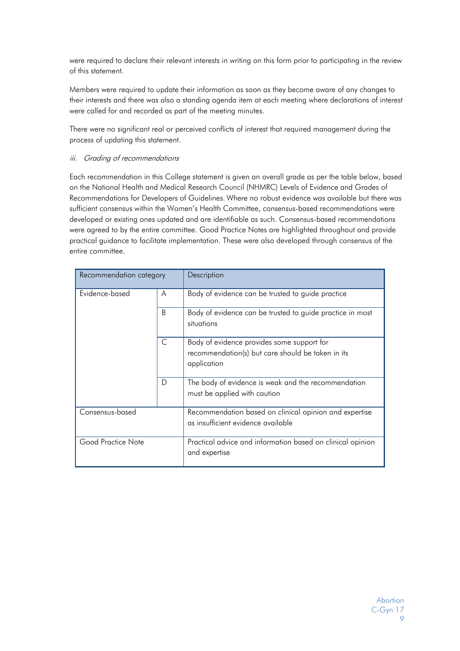were required to declare their relevant interests in writing on this form prior to participating in the review of this statement.

Members were required to update their information as soon as they become aware of any changes to their interests and there was also a standing agenda item at each meeting where declarations of interest were called for and recorded as part of the meeting minutes.

There were no significant real or perceived conflicts of interest that required management during the process of updating this statement.

#### iii. Grading of recommendations

Each recommendation in this College statement is given an overall grade as per the table below, based on the National Health and Medical Research Council (NHMRC) Levels of Evidence and Grades of Recommendations for Developers of Guidelines. Where no robust evidence was available but there was sufficient consensus within the Women's Health Committee, consensus-based recommendations were developed or existing ones updated and are identifiable as such. Consensus-based recommendations were agreed to by the entire committee. Good Practice Notes are highlighted throughout and provide practical guidance to facilitate implementation. These were also developed through consensus of the entire committee.

| Recommendation category |   | Description                                                                                                    |
|-------------------------|---|----------------------------------------------------------------------------------------------------------------|
| Evidence-based          | A | Body of evidence can be trusted to guide practice                                                              |
|                         | B | Body of evidence can be trusted to guide practice in most<br>situations                                        |
|                         | C | Body of evidence provides some support for<br>recommendation(s) but care should be taken in its<br>application |
|                         | D | The body of evidence is weak and the recommendation<br>must be applied with caution                            |
| Consensus-based         |   | Recommendation based on clinical opinion and expertise<br>as insufficient evidence available                   |
| Good Practice Note      |   | Practical advice and information based on clinical opinion<br>and expertise                                    |